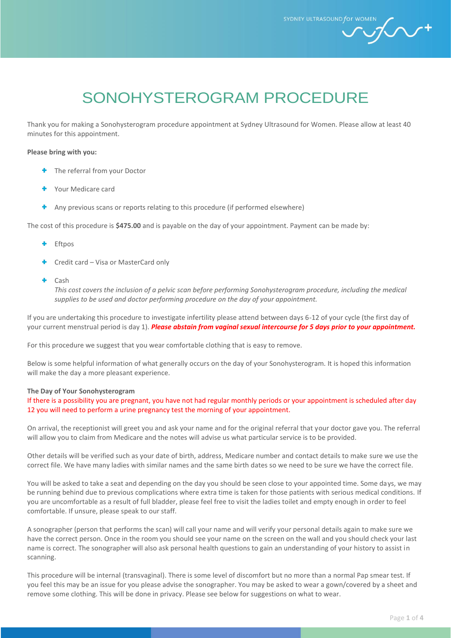SYDNEY ULTRASOUND for WOM

 $\mathcal{h}$ 

# SONOHYSTEROGRAM PROCEDURE

Thank you for making a Sonohysterogram procedure appointment at Sydney Ultrasound for Women. Please allow at least 40 minutes for this appointment.

#### **Please bring with you:**

- **+** The referral from your Doctor
- Your Medicare card
- <sup>+</sup> Any previous scans or reports relating to this procedure (if performed elsewhere)

The cost of this procedure is **\$475.00** and is payable on the day of your appointment. Payment can be made by:

- ۰ Eftpos
- Credit card Visa or MasterCard only
- Cash

*This cost covers the inclusion of a pelvic scan before performing Sonohysterogram procedure, including the medical supplies to be used and doctor performing procedure on the day of your appointment.*

If you are undertaking this procedure to investigate infertility please attend between days 6-12 of your cycle (the first day of your current menstrual period is day 1). *Please abstain from vaginal sexual intercourse for 5 days prior to your appointment.*

For this procedure we suggest that you wear comfortable clothing that is easy to remove.

Below is some helpful information of what generally occurs on the day of your Sonohysterogram. It is hoped this information will make the day a more pleasant experience.

#### **The Day of Your Sonohysterogram**

If there is a possibility you are pregnant, you have not had regular monthly periods or your appointment is scheduled after day 12 you will need to perform a urine pregnancy test the morning of your appointment.

On arrival, the receptionist will greet you and ask your name and for the original referral that your doctor gave you. The referral will allow you to claim from Medicare and the notes will advise us what particular service is to be provided.

Other details will be verified such as your date of birth, address, Medicare number and contact details to make sure we use the correct file. We have many ladies with similar names and the same birth dates so we need to be sure we have the correct file.

You will be asked to take a seat and depending on the day you should be seen close to your appointed time. Some days, we may be running behind due to previous complications where extra time is taken for those patients with serious medical conditions. If you are uncomfortable as a result of full bladder, please feel free to visit the ladies toilet and empty enough in order to feel comfortable. If unsure, please speak to our staff.

A sonographer (person that performs the scan) will call your name and will verify your personal details again to make sure we have the correct person. Once in the room you should see your name on the screen on the wall and you should check your last name is correct. The sonographer will also ask personal health questions to gain an understanding of your history to assist in scanning.

This procedure will be internal (transvaginal). There is some level of discomfort but no more than a normal Pap smear test. If you feel this may be an issue for you please advise the sonographer. You may be asked to wear a gown/covered by a sheet and remove some clothing. This will be done in privacy. Please see below for suggestions on what to wear.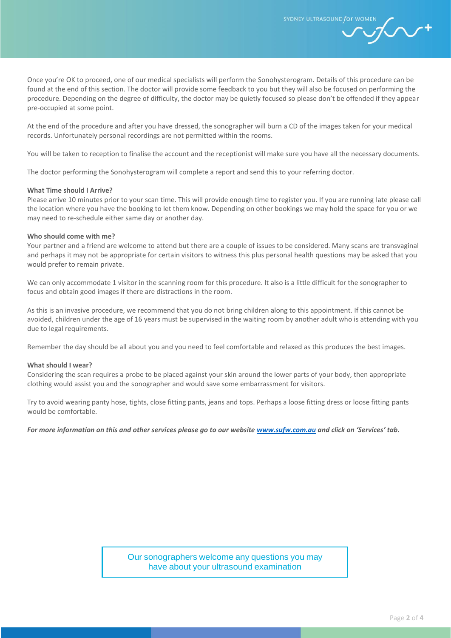SYDNEY ULTRASOUND for WO

Once you're OK to proceed, one of our medical specialists will perform the Sonohysterogram. Details of this procedure can be found at the end of this section. The doctor will provide some feedback to you but they will also be focused on performing the procedure. Depending on the degree of difficulty, the doctor may be quietly focused so please don't be offended if they appear pre-occupied at some point.

At the end of the procedure and after you have dressed, the sonographer will burn a CD of the images taken for your medical records. Unfortunately personal recordings are not permitted within the rooms.

You will be taken to reception to finalise the account and the receptionist will make sure you have all the necessary documents.

The doctor performing the Sonohysterogram will complete a report and send this to your referring doctor.

#### **What Time should I Arrive?**

Please arrive 10 minutes prior to your scan time. This will provide enough time to register you. If you are running late please call the location where you have the booking to let them know. Depending on other bookings we may hold the space for you or we may need to re-schedule either same day or another day.

#### **Who should come with me?**

Your partner and a friend are welcome to attend but there are a couple of issues to be considered. Many scans are transvaginal and perhaps it may not be appropriate for certain visitors to witness this plus personal health questions may be asked that you would prefer to remain private.

We can only accommodate 1 visitor in the scanning room for this procedure. It also is a little difficult for the sonographer to focus and obtain good images if there are distractions in the room.

As this is an invasive procedure, we recommend that you do not bring children along to this appointment. If this cannot be avoided, children under the age of 16 years must be supervised in the waiting room by another adult who is attending with you due to legal requirements.

Remember the day should be all about you and you need to feel comfortable and relaxed as this produces the best images.

#### **What should I wear?**

Considering the scan requires a probe to be placed against your skin around the lower parts of your body, then appropriate clothing would assist you and the sonographer and would save some embarrassment for visitors.

Try to avoid wearing panty hose, tights, close fitting pants, jeans and tops. Perhaps a loose fitting dress or loose fitting pants would be comfortable.

*For more information on this and other services please go to our website [www.sufw.com.au](file://///dc1-core-file/MIVFG_UserFolder/Kate.Colquhoun/2.%20SUFW/Documents/All%20SUFW%20Web%20Documents/www.sufw.com.au) and click on 'Services' tab.*

Our sonographers welcome any questions you may have about your ultrasound examination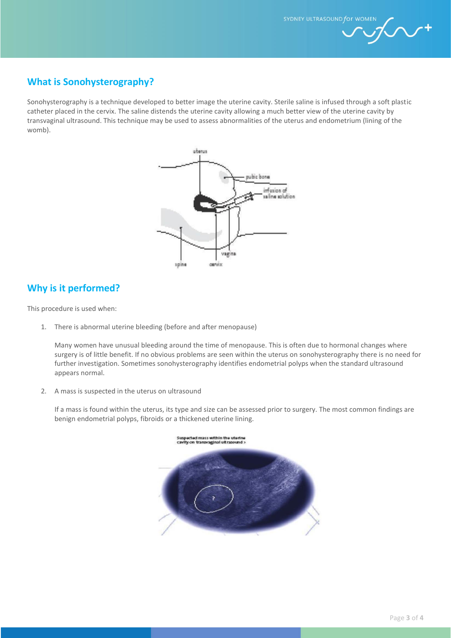SYDNEY ULTRASOUND for WOMEN

# **What is Sonohysterography?**

Sonohysterography is a technique developed to better image the uterine cavity. Sterile saline is infused through a soft plastic catheter placed in the cervix. The saline distends the uterine cavity allowing a much better view of the uterine cavity by transvaginal ultrasound. This technique may be used to assess abnormalities of the uterus and endometrium (lining of the womb).



## **Why is it performed?**

This procedure is used when:

1. There is abnormal uterine bleeding (before and after menopause)

Many women have unusual bleeding around the time of menopause. This is often due to hormonal changes where surgery is of little benefit. If no obvious problems are seen within the uterus on sonohysterography there is no need for further investigation. Sometimes sonohysterography identifies endometrial polyps when the standard ultrasound appears normal.

2. A mass is suspected in the uterus on ultrasound

If a mass is found within the uterus, its type and size can be assessed prior to surgery. The most common findings are benign endometrial polyps, fibroids or a thickened uterine lining.